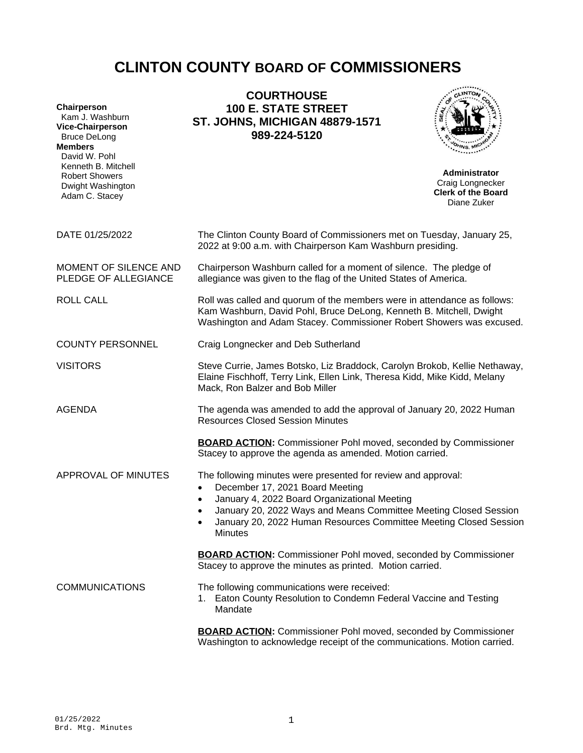# **CLINTON COUNTY BOARD OF COMMISSIONERS**

| Chairperson<br>Kam J. Washburn<br><b>Vice-Chairperson</b><br><b>Bruce DeLong</b><br><b>Members</b><br>David W. Pohl | <b>COURTHOUSE</b><br><b>100 E. STATE STREET</b><br><b>ST. JOHNS, MICHIGAN 48879-1571</b><br>989-224-5120                                                                                                                                                                                                    |                                                                                      |
|---------------------------------------------------------------------------------------------------------------------|-------------------------------------------------------------------------------------------------------------------------------------------------------------------------------------------------------------------------------------------------------------------------------------------------------------|--------------------------------------------------------------------------------------|
| Kenneth B. Mitchell<br><b>Robert Showers</b><br>Dwight Washington<br>Adam C. Stacey                                 |                                                                                                                                                                                                                                                                                                             | <b>Administrator</b><br>Craig Longnecker<br><b>Clerk of the Board</b><br>Diane Zuker |
| DATE 01/25/2022                                                                                                     | The Clinton County Board of Commissioners met on Tuesday, January 25,<br>2022 at 9:00 a.m. with Chairperson Kam Washburn presiding.                                                                                                                                                                         |                                                                                      |
| MOMENT OF SILENCE AND<br>PLEDGE OF ALLEGIANCE                                                                       | Chairperson Washburn called for a moment of silence. The pledge of<br>allegiance was given to the flag of the United States of America.                                                                                                                                                                     |                                                                                      |
| <b>ROLL CALL</b>                                                                                                    | Roll was called and quorum of the members were in attendance as follows:<br>Kam Washburn, David Pohl, Bruce DeLong, Kenneth B. Mitchell, Dwight<br>Washington and Adam Stacey. Commissioner Robert Showers was excused.                                                                                     |                                                                                      |
| <b>COUNTY PERSONNEL</b>                                                                                             | Craig Longnecker and Deb Sutherland                                                                                                                                                                                                                                                                         |                                                                                      |
| <b>VISITORS</b>                                                                                                     | Steve Currie, James Botsko, Liz Braddock, Carolyn Brokob, Kellie Nethaway,<br>Elaine Fischhoff, Terry Link, Ellen Link, Theresa Kidd, Mike Kidd, Melany<br>Mack, Ron Balzer and Bob Miller                                                                                                                  |                                                                                      |
| <b>AGENDA</b>                                                                                                       | The agenda was amended to add the approval of January 20, 2022 Human<br><b>Resources Closed Session Minutes</b>                                                                                                                                                                                             |                                                                                      |
|                                                                                                                     | <b>BOARD ACTION:</b> Commissioner Pohl moved, seconded by Commissioner<br>Stacey to approve the agenda as amended. Motion carried.                                                                                                                                                                          |                                                                                      |
| APPROVAL OF MINUTES                                                                                                 | The following minutes were presented for review and approval:<br>December 17, 2021 Board Meeting<br>January 4, 2022 Board Organizational Meeting<br>January 20, 2022 Ways and Means Committee Meeting Closed Session<br>January 20, 2022 Human Resources Committee Meeting Closed Session<br><b>Minutes</b> |                                                                                      |
|                                                                                                                     | <b>BOARD ACTION:</b> Commissioner Pohl moved, seconded by Commissioner<br>Stacey to approve the minutes as printed. Motion carried.                                                                                                                                                                         |                                                                                      |
| <b>COMMUNICATIONS</b>                                                                                               | The following communications were received:<br>1. Eaton County Resolution to Condemn Federal Vaccine and Testing<br>Mandate                                                                                                                                                                                 |                                                                                      |
|                                                                                                                     | <b>BOARD ACTION:</b> Commissioner Pohl moved, seconded by Commissioner                                                                                                                                                                                                                                      |                                                                                      |

Washington to acknowledge receipt of the communications. Motion carried.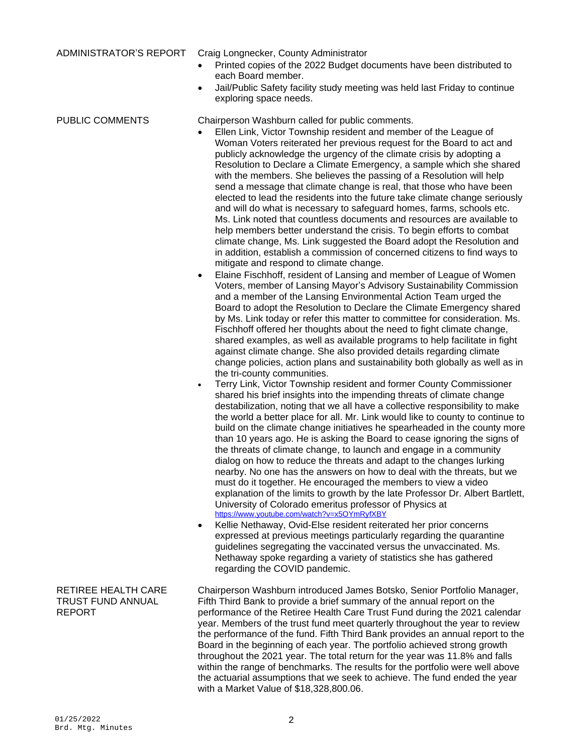ADMINISTRATOR'S REPORT Craig Longnecker, County Administrator

- Printed copies of the 2022 Budget documents have been distributed to each Board member.
- Jail/Public Safety facility study meeting was held last Friday to continue exploring space needs.

PUBLIC COMMENTS Chairperson Washburn called for public comments.

- Ellen Link, Victor Township resident and member of the League of Woman Voters reiterated her previous request for the Board to act and publicly acknowledge the urgency of the climate crisis by adopting a Resolution to Declare a Climate Emergency, a sample which she shared with the members. She believes the passing of a Resolution will help send a message that climate change is real, that those who have been elected to lead the residents into the future take climate change seriously and will do what is necessary to safeguard homes, farms, schools etc. Ms. Link noted that countless documents and resources are available to help members better understand the crisis. To begin efforts to combat climate change, Ms. Link suggested the Board adopt the Resolution and in addition, establish a commission of concerned citizens to find ways to mitigate and respond to climate change.
- Elaine Fischhoff, resident of Lansing and member of League of Women Voters, member of Lansing Mayor's Advisory Sustainability Commission and a member of the Lansing Environmental Action Team urged the Board to adopt the Resolution to Declare the Climate Emergency shared by Ms. Link today or refer this matter to committee for consideration. Ms. Fischhoff offered her thoughts about the need to fight climate change, shared examples, as well as available programs to help facilitate in fight against climate change. She also provided details regarding climate change policies, action plans and sustainability both globally as well as in the tri-county communities.
- Terry Link, Victor Township resident and former County Commissioner shared his brief insights into the impending threats of climate change destabilization, noting that we all have a collective responsibility to make the world a better place for all. Mr. Link would like to county to continue to build on the climate change initiatives he spearheaded in the county more than 10 years ago. He is asking the Board to cease ignoring the signs of the threats of climate change, to launch and engage in a community dialog on how to reduce the threats and adapt to the changes lurking nearby. No one has the answers on how to deal with the threats, but we must do it together. He encouraged the members to view a video explanation of the limits to growth by the late Professor Dr. Albert Bartlett, University of Colorado emeritus professor of Physics at <https://www.youtube.com/watch?v=x5OYmRyfXBY>
- Kellie Nethaway, Ovid-Else resident reiterated her prior concerns expressed at previous meetings particularly regarding the quarantine guidelines segregating the vaccinated versus the unvaccinated. Ms. Nethaway spoke regarding a variety of statistics she has gathered regarding the COVID pandemic.

Chairperson Washburn introduced James Botsko, Senior Portfolio Manager, Fifth Third Bank to provide a brief summary of the annual report on the performance of the Retiree Health Care Trust Fund during the 2021 calendar year. Members of the trust fund meet quarterly throughout the year to review the performance of the fund. Fifth Third Bank provides an annual report to the Board in the beginning of each year. The portfolio achieved strong growth throughout the 2021 year. The total return for the year was 11.8% and falls within the range of benchmarks. The results for the portfolio were well above the actuarial assumptions that we seek to achieve. The fund ended the year with a Market Value of \$18,328,800.06.

# RETIREE HEALTH CARE TRUST FUND ANNUAL REPORT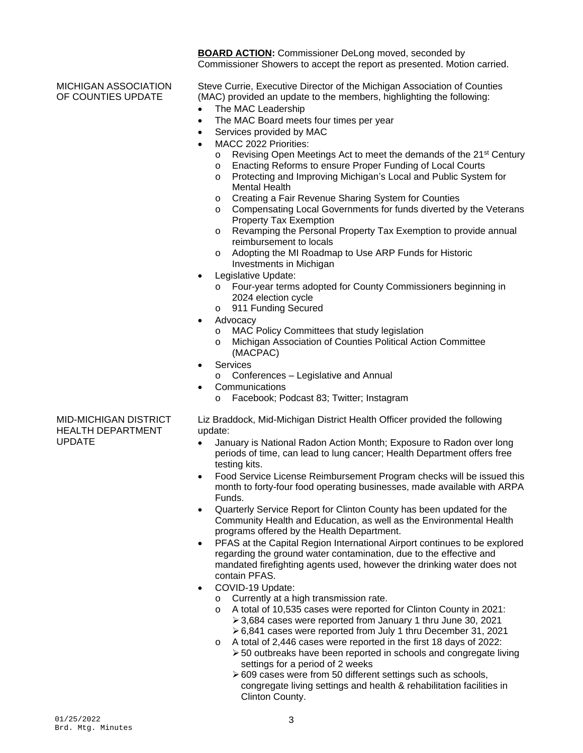**BOARD ACTION:** Commissioner DeLong moved, seconded by Commissioner Showers to accept the report as presented. Motion carried.

MICHIGAN ASSOCIATION OF COUNTIES UPDATE

- Steve Currie, Executive Director of the Michigan Association of Counties (MAC) provided an update to the members, highlighting the following:
- The MAC Leadership
- The MAC Board meets four times per year
- Services provided by MAC
- MACC 2022 Priorities:
	- o Revising Open Meetings Act to meet the demands of the 21st Century
	- o Enacting Reforms to ensure Proper Funding of Local Courts
	- o Protecting and Improving Michigan's Local and Public System for Mental Health
	- o Creating a Fair Revenue Sharing System for Counties
	- o Compensating Local Governments for funds diverted by the Veterans Property Tax Exemption
	- o Revamping the Personal Property Tax Exemption to provide annual reimbursement to locals
	- o Adopting the MI Roadmap to Use ARP Funds for Historic Investments in Michigan
- Legislative Update:
	- o Four-year terms adopted for County Commissioners beginning in 2024 election cycle
	- o 911 Funding Secured
- Advocacy
	- o MAC Policy Committees that study legislation
	- o Michigan Association of Counties Political Action Committee (MACPAC)
- **Services** 
	- o Conferences Legislative and Annual
- **Communications** 
	- o Facebook; Podcast 83; Twitter; Instagram

MID-MICHIGAN DISTRICT HEALTH DEPARTMENT UPDATE

Liz Braddock, Mid-Michigan District Health Officer provided the following update:

- January is National Radon Action Month; Exposure to Radon over long periods of time, can lead to lung cancer; Health Department offers free testing kits.
- Food Service License Reimbursement Program checks will be issued this month to forty-four food operating businesses, made available with ARPA Funds.
- Quarterly Service Report for Clinton County has been updated for the Community Health and Education, as well as the Environmental Health programs offered by the Health Department.
- PFAS at the Capital Region International Airport continues to be explored regarding the ground water contamination, due to the effective and mandated firefighting agents used, however the drinking water does not contain PFAS.
- COVID-19 Update:
	- o Currently at a high transmission rate.
	- o A total of 10,535 cases were reported for Clinton County in 2021: 3,684 cases were reported from January 1 thru June 30, 2021
	- 6,841 cases were reported from July 1 thru December 31, 2021 o A total of 2,446 cases were reported in the first 18 days of 2022:
	- 50 outbreaks have been reported in schools and congregate living settings for a period of 2 weeks
		- ▶ 609 cases were from 50 different settings such as schools, congregate living settings and health & rehabilitation facilities in Clinton County.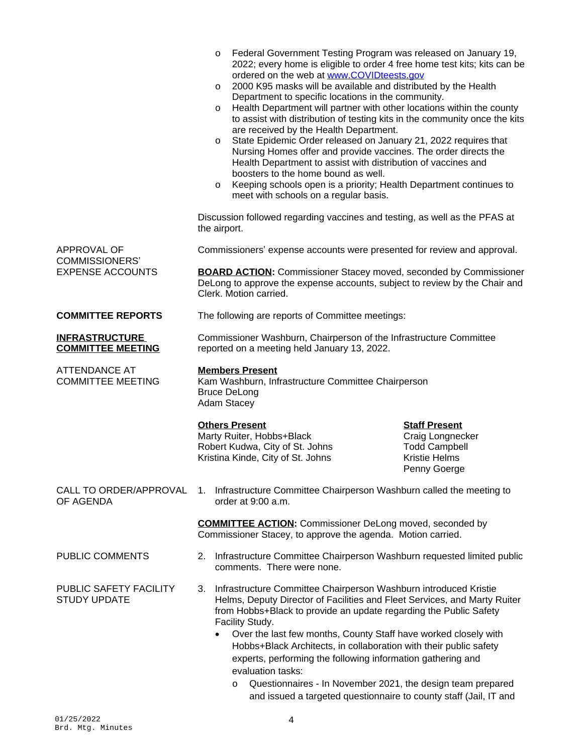|                                                   | Federal Government Testing Program was released on January 19,<br>$\circ$<br>2022; every home is eligible to order 4 free home test kits; kits can be<br>ordered on the web at www.COVIDteests.gov<br>2000 K95 masks will be available and distributed by the Health<br>$\circ$<br>Department to specific locations in the community.<br>Health Department will partner with other locations within the county<br>$\circ$<br>to assist with distribution of testing kits in the community once the kits<br>are received by the Health Department.<br>State Epidemic Order released on January 21, 2022 requires that<br>$\circ$<br>Nursing Homes offer and provide vaccines. The order directs the<br>Health Department to assist with distribution of vaccines and<br>boosters to the home bound as well.<br>Keeping schools open is a priority; Health Department continues to<br>$\circ$<br>meet with schools on a regular basis.<br>Discussion followed regarding vaccines and testing, as well as the PFAS at<br>the airport. |                                                                                                          |  |
|---------------------------------------------------|------------------------------------------------------------------------------------------------------------------------------------------------------------------------------------------------------------------------------------------------------------------------------------------------------------------------------------------------------------------------------------------------------------------------------------------------------------------------------------------------------------------------------------------------------------------------------------------------------------------------------------------------------------------------------------------------------------------------------------------------------------------------------------------------------------------------------------------------------------------------------------------------------------------------------------------------------------------------------------------------------------------------------------|----------------------------------------------------------------------------------------------------------|--|
| APPROVAL OF                                       | Commissioners' expense accounts were presented for review and approval.                                                                                                                                                                                                                                                                                                                                                                                                                                                                                                                                                                                                                                                                                                                                                                                                                                                                                                                                                            |                                                                                                          |  |
| <b>COMMISSIONERS'</b><br><b>EXPENSE ACCOUNTS</b>  |                                                                                                                                                                                                                                                                                                                                                                                                                                                                                                                                                                                                                                                                                                                                                                                                                                                                                                                                                                                                                                    |                                                                                                          |  |
|                                                   | <b>BOARD ACTION:</b> Commissioner Stacey moved, seconded by Commissioner<br>DeLong to approve the expense accounts, subject to review by the Chair and<br>Clerk. Motion carried.                                                                                                                                                                                                                                                                                                                                                                                                                                                                                                                                                                                                                                                                                                                                                                                                                                                   |                                                                                                          |  |
| <b>COMMITTEE REPORTS</b>                          | The following are reports of Committee meetings:                                                                                                                                                                                                                                                                                                                                                                                                                                                                                                                                                                                                                                                                                                                                                                                                                                                                                                                                                                                   |                                                                                                          |  |
| <b>INFRASTRUCTURE</b><br><b>COMMITTEE MEETING</b> | Commissioner Washburn, Chairperson of the Infrastructure Committee<br>reported on a meeting held January 13, 2022.                                                                                                                                                                                                                                                                                                                                                                                                                                                                                                                                                                                                                                                                                                                                                                                                                                                                                                                 |                                                                                                          |  |
| <b>ATTENDANCE AT</b><br><b>COMMITTEE MEETING</b>  | <b>Members Present</b><br>Kam Washburn, Infrastructure Committee Chairperson<br><b>Bruce DeLong</b><br>Adam Stacey                                                                                                                                                                                                                                                                                                                                                                                                                                                                                                                                                                                                                                                                                                                                                                                                                                                                                                                 |                                                                                                          |  |
|                                                   | <b>Others Present</b><br>Marty Ruiter, Hobbs+Black<br>Robert Kudwa, City of St. Johns<br>Kristina Kinde, City of St. Johns                                                                                                                                                                                                                                                                                                                                                                                                                                                                                                                                                                                                                                                                                                                                                                                                                                                                                                         | <b>Staff Present</b><br>Craig Longnecker<br><b>Todd Campbell</b><br><b>Kristie Helms</b><br>Penny Goerge |  |
| CALL TO ORDER/APPROVAL<br>OF AGENDA               | Infrastructure Committee Chairperson Washburn called the meeting to<br>1.<br>order at 9:00 a.m.                                                                                                                                                                                                                                                                                                                                                                                                                                                                                                                                                                                                                                                                                                                                                                                                                                                                                                                                    |                                                                                                          |  |
|                                                   | <b>COMMITTEE ACTION:</b> Commissioner DeLong moved, seconded by<br>Commissioner Stacey, to approve the agenda. Motion carried.                                                                                                                                                                                                                                                                                                                                                                                                                                                                                                                                                                                                                                                                                                                                                                                                                                                                                                     |                                                                                                          |  |
| PUBLIC COMMENTS                                   | 2. Infrastructure Committee Chairperson Washburn requested limited public<br>comments. There were none.                                                                                                                                                                                                                                                                                                                                                                                                                                                                                                                                                                                                                                                                                                                                                                                                                                                                                                                            |                                                                                                          |  |
| PUBLIC SAFETY FACILITY<br><b>STUDY UPDATE</b>     | 3. Infrastructure Committee Chairperson Washburn introduced Kristie<br>Helms, Deputy Director of Facilities and Fleet Services, and Marty Ruiter<br>from Hobbs+Black to provide an update regarding the Public Safety<br>Facility Study.<br>Over the last few months, County Staff have worked closely with<br>$\bullet$<br>Hobbs+Black Architects, in collaboration with their public safety<br>experts, performing the following information gathering and<br>evaluation tasks:<br>Questionnaires - In November 2021, the design team prepared<br>$\circ$<br>and issued a targeted questionnaire to county staff (Jail, IT and                                                                                                                                                                                                                                                                                                                                                                                                   |                                                                                                          |  |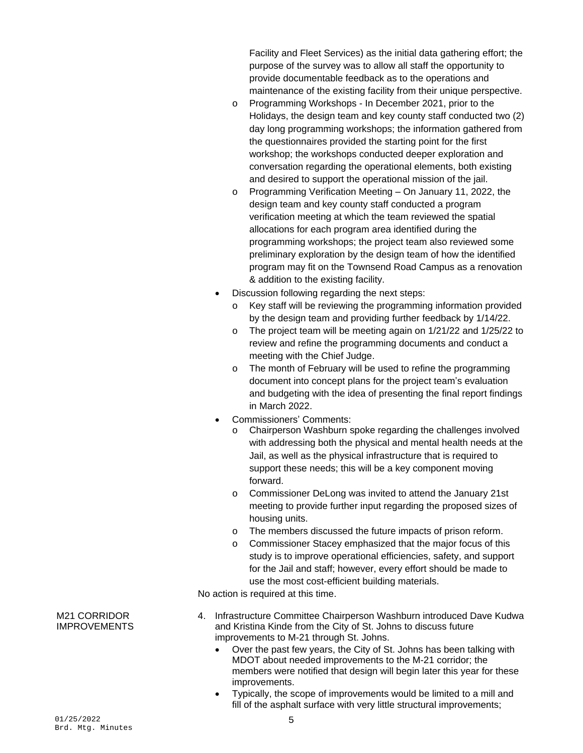Facility and Fleet Services) as the initial data gathering effort; the purpose of the survey was to allow all staff the opportunity to provide documentable feedback as to the operations and maintenance of the existing facility from their unique perspective.

- o Programming Workshops In December 2021, prior to the Holidays, the design team and key county staff conducted two (2) day long programming workshops; the information gathered from the questionnaires provided the starting point for the first workshop; the workshops conducted deeper exploration and conversation regarding the operational elements, both existing and desired to support the operational mission of the jail.
- o Programming Verification Meeting On January 11, 2022, the design team and key county staff conducted a program verification meeting at which the team reviewed the spatial allocations for each program area identified during the programming workshops; the project team also reviewed some preliminary exploration by the design team of how the identified program may fit on the Townsend Road Campus as a renovation & addition to the existing facility.
- Discussion following regarding the next steps:
	- o Key staff will be reviewing the programming information provided by the design team and providing further feedback by 1/14/22.
	- o The project team will be meeting again on 1/21/22 and 1/25/22 to review and refine the programming documents and conduct a meeting with the Chief Judge.
	- o The month of February will be used to refine the programming document into concept plans for the project team's evaluation and budgeting with the idea of presenting the final report findings in March 2022.
- Commissioners' Comments:
	- o Chairperson Washburn spoke regarding the challenges involved with addressing both the physical and mental health needs at the Jail, as well as the physical infrastructure that is required to support these needs; this will be a key component moving forward.
	- o Commissioner DeLong was invited to attend the January 21st meeting to provide further input regarding the proposed sizes of housing units.
	- o The members discussed the future impacts of prison reform.
	- o Commissioner Stacey emphasized that the major focus of this study is to improve operational efficiencies, safety, and support for the Jail and staff; however, every effort should be made to use the most cost-efficient building materials.

No action is required at this time.

- 4. Infrastructure Committee Chairperson Washburn introduced Dave Kudwa and Kristina Kinde from the City of St. Johns to discuss future improvements to M-21 through St. Johns.
	- Over the past few years, the City of St. Johns has been talking with MDOT about needed improvements to the M-21 corridor; the members were notified that design will begin later this year for these improvements.
	- Typically, the scope of improvements would be limited to a mill and fill of the asphalt surface with very little structural improvements;

M21 CORRIDOR IMPROVEMENTS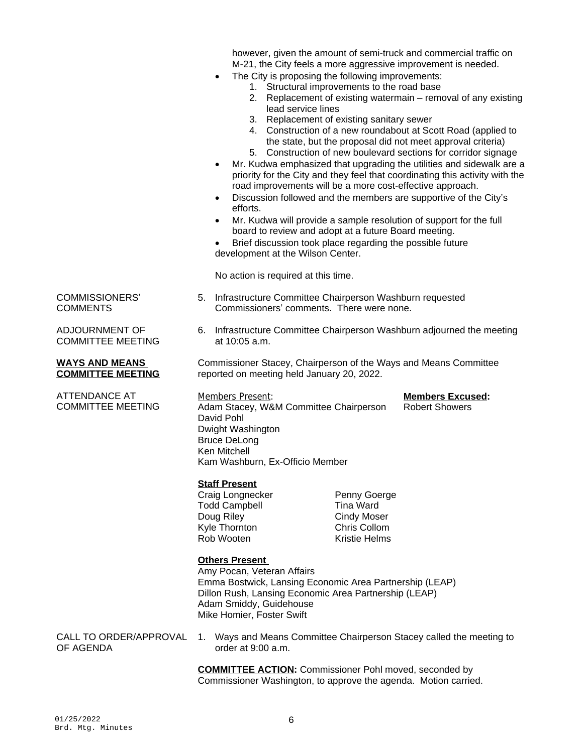however, given the amount of semi-truck and commercial traffic on M-21, the City feels a more aggressive improvement is needed.

- The City is proposing the following improvements:
	- 1. Structural improvements to the road base
	- 2. Replacement of existing watermain removal of any existing lead service lines
	- 3. Replacement of existing sanitary sewer
	- 4. Construction of a new roundabout at Scott Road (applied to the state, but the proposal did not meet approval criteria)
	- 5. Construction of new boulevard sections for corridor signage
- Mr. Kudwa emphasized that upgrading the utilities and sidewalk are a priority for the City and they feel that coordinating this activity with the road improvements will be a more cost-effective approach.
- Discussion followed and the members are supportive of the City's efforts.
- Mr. Kudwa will provide a sample resolution of support for the full board to review and adopt at a future Board meeting.
- Brief discussion took place regarding the possible future development at the Wilson Center.

No action is required at this time.

- 5. Infrastructure Committee Chairperson Washburn requested Commissioners' comments. There were none.
- 6. Infrastructure Committee Chairperson Washburn adjourned the meeting at 10:05 a.m.

Commissioner Stacey, Chairperson of the Ways and Means Committee reported on meeting held January 20, 2022.

Members Present: **Members Excused:** Adam Stacey, W&M Committee Chairperson David Pohl Dwight Washington Bruce DeLong Ken Mitchell Kam Washburn, Ex-Officio Member

## **Staff Present**

Todd Campbell **Tina Ward** Doug Riley Cindy Moser Kyle Thornton **Chris Collom**<br>Rob Wooten **Chris Collom**<br>Kristie Helms Rob Wooten

Craig Longnecker Penny Goerge

# **Others Present**

Amy Pocan, Veteran Affairs Emma Bostwick, Lansing Economic Area Partnership (LEAP) Dillon Rush, Lansing Economic Area Partnership (LEAP) Adam Smiddy, Guidehouse Mike Homier, Foster Swift

CALL TO ORDER/APPROVAL OF AGENDA

1. Ways and Means Committee Chairperson Stacey called the meeting to order at 9:00 a.m.

**COMMITTEE ACTION:** Commissioner Pohl moved, seconded by Commissioner Washington, to approve the agenda. Motion carried.

COMMISSIONERS' **COMMENTS** 

ADJOURNMENT OF COMMITTEE MEETING

### **WAYS AND MEANS COMMITTEE MEETING**

ATTENDANCE AT COMMITTEE MEETING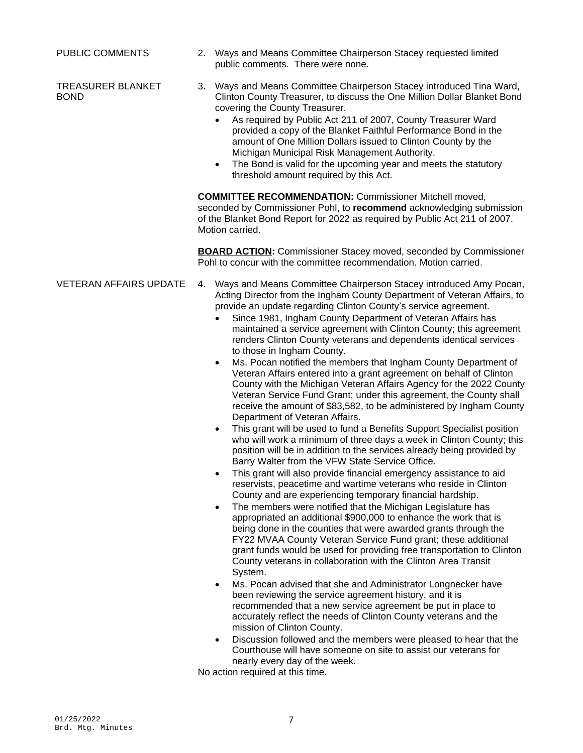TREASURER BLANKET BOND

- PUBLIC COMMENTS 2. Ways and Means Committee Chairperson Stacey requested limited public comments. There were none.
	- 3. Ways and Means Committee Chairperson Stacey introduced Tina Ward, Clinton County Treasurer, to discuss the One Million Dollar Blanket Bond covering the County Treasurer.
		- As required by Public Act 211 of 2007, County Treasurer Ward provided a copy of the Blanket Faithful Performance Bond in the amount of One Million Dollars issued to Clinton County by the Michigan Municipal Risk Management Authority.
		- The Bond is valid for the upcoming year and meets the statutory threshold amount required by this Act.

**COMMITTEE RECOMMENDATION:** Commissioner Mitchell moved, seconded by Commissioner Pohl, to **recommend** acknowledging submission of the Blanket Bond Report for 2022 as required by Public Act 211 of 2007. Motion carried.

**BOARD ACTION:** Commissioner Stacey moved, seconded by Commissioner Pohl to concur with the committee recommendation. Motion carried.

- 
- VETERAN AFFAIRS UPDATE 4. Ways and Means Committee Chairperson Stacey introduced Amy Pocan, Acting Director from the Ingham County Department of Veteran Affairs, to provide an update regarding Clinton County's service agreement.
	- Since 1981, Ingham County Department of Veteran Affairs has maintained a service agreement with Clinton County; this agreement renders Clinton County veterans and dependents identical services to those in Ingham County.
	- Ms. Pocan notified the members that Ingham County Department of Veteran Affairs entered into a grant agreement on behalf of Clinton County with the Michigan Veteran Affairs Agency for the 2022 County Veteran Service Fund Grant; under this agreement, the County shall receive the amount of \$83,582, to be administered by Ingham County Department of Veteran Affairs.
	- This grant will be used to fund a Benefits Support Specialist position who will work a minimum of three days a week in Clinton County; this position will be in addition to the services already being provided by Barry Walter from the VFW State Service Office.
	- This grant will also provide financial emergency assistance to aid reservists, peacetime and wartime veterans who reside in Clinton County and are experiencing temporary financial hardship.
	- The members were notified that the Michigan Legislature has appropriated an additional \$900,000 to enhance the work that is being done in the counties that were awarded grants through the FY22 MVAA County Veteran Service Fund grant; these additional grant funds would be used for providing free transportation to Clinton County veterans in collaboration with the Clinton Area Transit System.
	- Ms. Pocan advised that she and Administrator Longnecker have been reviewing the service agreement history, and it is recommended that a new service agreement be put in place to accurately reflect the needs of Clinton County veterans and the mission of Clinton County.
	- Discussion followed and the members were pleased to hear that the Courthouse will have someone on site to assist our veterans for nearly every day of the week.

No action required at this time.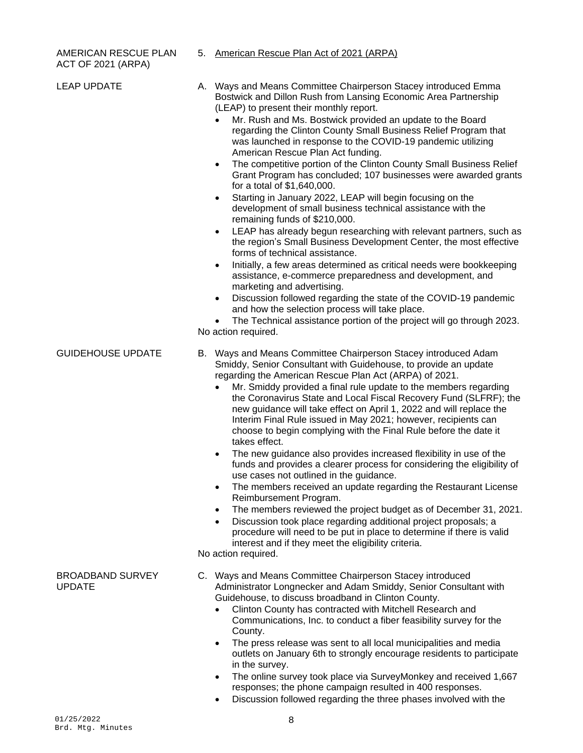# AMERICAN RESCUE PLAN 5. American Rescue Plan Act of 2021 (ARPA) ACT OF 2021 (ARPA)

| <b>LEAP UPDATE</b>                       | A. Ways and Means Committee Chairperson Stacey introduced Emma<br>Bostwick and Dillon Rush from Lansing Economic Area Partnership<br>(LEAP) to present their monthly report.<br>Mr. Rush and Ms. Bostwick provided an update to the Board<br>$\bullet$<br>regarding the Clinton County Small Business Relief Program that<br>was launched in response to the COVID-19 pandemic utilizing<br>American Rescue Plan Act funding.<br>The competitive portion of the Clinton County Small Business Relief<br>$\bullet$<br>Grant Program has concluded; 107 businesses were awarded grants<br>for a total of \$1,640,000.<br>Starting in January 2022, LEAP will begin focusing on the<br>$\bullet$<br>development of small business technical assistance with the<br>remaining funds of \$210,000.<br>LEAP has already begun researching with relevant partners, such as<br>the region's Small Business Development Center, the most effective<br>forms of technical assistance.<br>Initially, a few areas determined as critical needs were bookkeeping<br>$\bullet$                                                                                                                    |
|------------------------------------------|-------------------------------------------------------------------------------------------------------------------------------------------------------------------------------------------------------------------------------------------------------------------------------------------------------------------------------------------------------------------------------------------------------------------------------------------------------------------------------------------------------------------------------------------------------------------------------------------------------------------------------------------------------------------------------------------------------------------------------------------------------------------------------------------------------------------------------------------------------------------------------------------------------------------------------------------------------------------------------------------------------------------------------------------------------------------------------------------------------------------------------------------------------------------------------------|
|                                          | assistance, e-commerce preparedness and development, and<br>marketing and advertising.<br>Discussion followed regarding the state of the COVID-19 pandemic<br>$\bullet$<br>and how the selection process will take place.<br>The Technical assistance portion of the project will go through 2023.<br>$\bullet$<br>No action required.                                                                                                                                                                                                                                                                                                                                                                                                                                                                                                                                                                                                                                                                                                                                                                                                                                              |
| <b>GUIDEHOUSE UPDATE</b>                 | B. Ways and Means Committee Chairperson Stacey introduced Adam<br>Smiddy, Senior Consultant with Guidehouse, to provide an update<br>regarding the American Rescue Plan Act (ARPA) of 2021.<br>Mr. Smiddy provided a final rule update to the members regarding<br>the Coronavirus State and Local Fiscal Recovery Fund (SLFRF); the<br>new guidance will take effect on April 1, 2022 and will replace the<br>Interim Final Rule issued in May 2021; however, recipients can<br>choose to begin complying with the Final Rule before the date it<br>takes effect.<br>The new guidance also provides increased flexibility in use of the<br>$\bullet$<br>funds and provides a clearer process for considering the eligibility of<br>use cases not outlined in the guidance.<br>The members received an update regarding the Restaurant License<br>Reimbursement Program.<br>The members reviewed the project budget as of December 31, 2021.<br>Discussion took place regarding additional project proposals; a<br>$\bullet$<br>procedure will need to be put in place to determine if there is valid<br>interest and if they meet the eligibility criteria.<br>No action required. |
| <b>BROADBAND SURVEY</b><br><b>UPDATE</b> | C. Ways and Means Committee Chairperson Stacey introduced<br>Administrator Longnecker and Adam Smiddy, Senior Consultant with<br>Guidehouse, to discuss broadband in Clinton County.<br>Clinton County has contracted with Mitchell Research and<br>Communications, Inc. to conduct a fiber feasibility survey for the<br>County.<br>The press release was sent to all local municipalities and media<br>$\bullet$<br>outlets on January 6th to strongly encourage residents to participate<br>in the survey.<br>The online survey took place via SurveyMonkey and received 1,667<br>responses; the phone campaign resulted in 400 responses.<br>Discussion followed regarding the three phases involved with the                                                                                                                                                                                                                                                                                                                                                                                                                                                                   |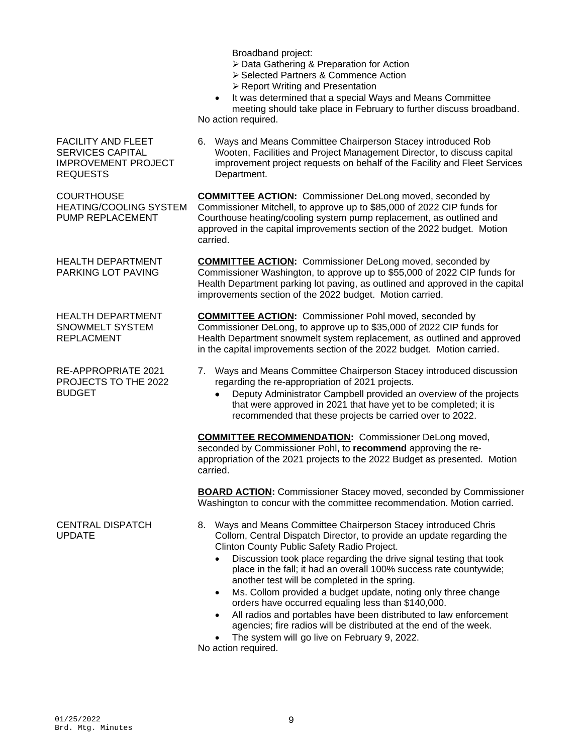Broadband project:

- Data Gathering & Preparation for Action
- ▶ Selected Partners & Commence Action
- ▶ Report Writing and Presentation

 It was determined that a special Ways and Means Committee meeting should take place in February to further discuss broadband. No action required.

FACILITY AND FLEET SERVICES CAPITAL IMPROVEMENT PROJECT REQUESTS

**COURTHOUSE** HEATING/COOLING SYSTEM PUMP REPLACEMENT

HEALTH DEPARTMENT PARKING LOT PAVING

HEALTH DEPARTMENT SNOWMELT SYSTEM REPLACMENT

RE-APPROPRIATE 2021 PROJECTS TO THE 2022 BUDGET

CENTRAL DISPATCH UPDATE

6. Ways and Means Committee Chairperson Stacey introduced Rob Wooten, Facilities and Project Management Director, to discuss capital improvement project requests on behalf of the Facility and Fleet Services Department.

**COMMITTEE ACTION:** Commissioner DeLong moved, seconded by Commissioner Mitchell, to approve up to \$85,000 of 2022 CIP funds for Courthouse heating/cooling system pump replacement, as outlined and approved in the capital improvements section of the 2022 budget. Motion carried.

**COMMITTEE ACTION:** Commissioner DeLong moved, seconded by Commissioner Washington, to approve up to \$55,000 of 2022 CIP funds for Health Department parking lot paving, as outlined and approved in the capital improvements section of the 2022 budget. Motion carried.

**COMMITTEE ACTION:** Commissioner Pohl moved, seconded by Commissioner DeLong, to approve up to \$35,000 of 2022 CIP funds for Health Department snowmelt system replacement, as outlined and approved in the capital improvements section of the 2022 budget. Motion carried.

- 7. Ways and Means Committee Chairperson Stacey introduced discussion regarding the re-appropriation of 2021 projects.
	- Deputy Administrator Campbell provided an overview of the projects that were approved in 2021 that have yet to be completed; it is recommended that these projects be carried over to 2022.

**COMMITTEE RECOMMENDATION:** Commissioner DeLong moved, seconded by Commissioner Pohl, to **recommend** approving the reappropriation of the 2021 projects to the 2022 Budget as presented. Motion carried.

**BOARD ACTION:** Commissioner Stacey moved, seconded by Commissioner Washington to concur with the committee recommendation. Motion carried.

- 8. Ways and Means Committee Chairperson Stacey introduced Chris Collom, Central Dispatch Director, to provide an update regarding the Clinton County Public Safety Radio Project.
	- Discussion took place regarding the drive signal testing that took place in the fall; it had an overall 100% success rate countywide; another test will be completed in the spring.
	- Ms. Collom provided a budget update, noting only three change orders have occurred equaling less than \$140,000.
	- All radios and portables have been distributed to law enforcement agencies; fire radios will be distributed at the end of the week.
	- The system will go live on February 9, 2022.

No action required.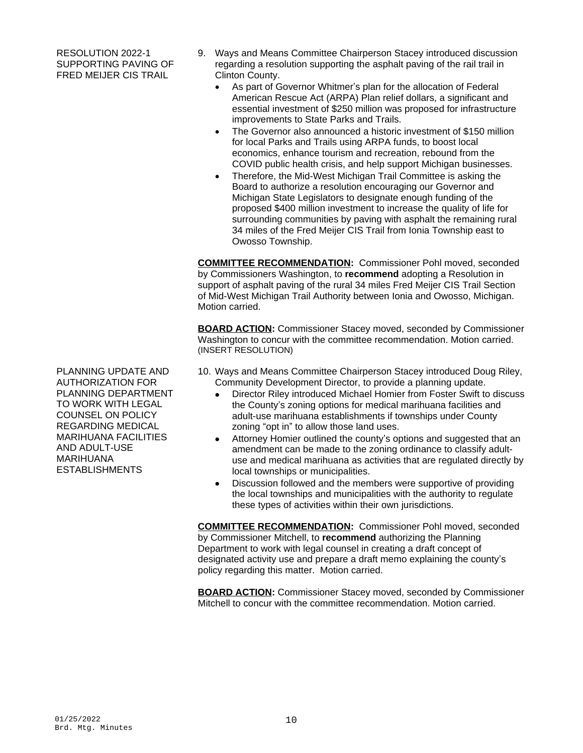RESOLUTION 2022-1 SUPPORTING PAVING OF FRED MEIJER CIS TRAIL

- 9. Ways and Means Committee Chairperson Stacey introduced discussion regarding a resolution supporting the asphalt paving of the rail trail in Clinton County.
	- As part of Governor Whitmer's plan for the allocation of Federal American Rescue Act (ARPA) Plan relief dollars, a significant and essential investment of \$250 million was proposed for infrastructure improvements to State Parks and Trails.
	- The Governor also announced a historic investment of \$150 million for local Parks and Trails using ARPA funds, to boost local economics, enhance tourism and recreation, rebound from the COVID public health crisis, and help support Michigan businesses.
	- Therefore, the Mid-West Michigan Trail Committee is asking the Board to authorize a resolution encouraging our Governor and Michigan State Legislators to designate enough funding of the proposed \$400 million investment to increase the quality of life for surrounding communities by paving with asphalt the remaining rural 34 miles of the Fred Meijer CIS Trail from Ionia Township east to Owosso Township.

**COMMITTEE RECOMMENDATION:** Commissioner Pohl moved, seconded by Commissioners Washington, to **recommend** adopting a Resolution in support of asphalt paving of the rural 34 miles Fred Meijer CIS Trail Section of Mid-West Michigan Trail Authority between Ionia and Owosso, Michigan. Motion carried.

**BOARD ACTION:** Commissioner Stacey moved, seconded by Commissioner Washington to concur with the committee recommendation. Motion carried. (INSERT RESOLUTION)

- 10. Ways and Means Committee Chairperson Stacey introduced Doug Riley, Community Development Director, to provide a planning update.
	- Director Riley introduced Michael Homier from Foster Swift to discuss the County's zoning options for medical marihuana facilities and adult-use marihuana establishments if townships under County zoning "opt in" to allow those land uses.
	- Attorney Homier outlined the county's options and suggested that an amendment can be made to the zoning ordinance to classify adultuse and medical marihuana as activities that are regulated directly by local townships or municipalities.
	- Discussion followed and the members were supportive of providing the local townships and municipalities with the authority to regulate these types of activities within their own jurisdictions.

**COMMITTEE RECOMMENDATION:** Commissioner Pohl moved, seconded by Commissioner Mitchell, to **recommend** authorizing the Planning Department to work with legal counsel in creating a draft concept of designated activity use and prepare a draft memo explaining the county's policy regarding this matter. Motion carried.

**BOARD ACTION:** Commissioner Stacey moved, seconded by Commissioner Mitchell to concur with the committee recommendation. Motion carried.

PLANNING UPDATE AND AUTHORIZATION FOR PLANNING DEPARTMENT TO WORK WITH LEGAL COUNSEL ON POLICY REGARDING MEDICAL MARIHUANA FACILITIES AND ADULT-USE MARIHUANA ESTABLISHMENTS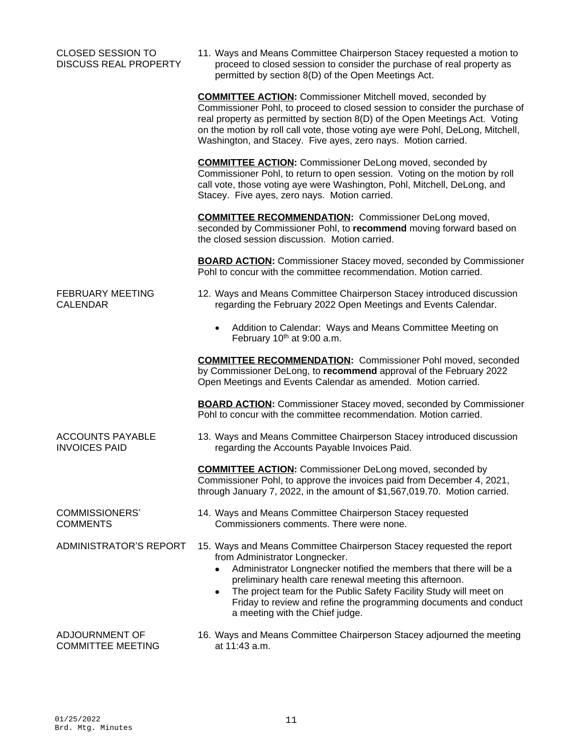| <b>CLOSED SESSION TO</b><br><b>DISCUSS REAL PROPERTY</b> | 11. Ways and Means Committee Chairperson Stacey requested a motion to<br>proceed to closed session to consider the purchase of real property as<br>permitted by section 8(D) of the Open Meetings Act.                                                                                                                                                                                                                     |
|----------------------------------------------------------|----------------------------------------------------------------------------------------------------------------------------------------------------------------------------------------------------------------------------------------------------------------------------------------------------------------------------------------------------------------------------------------------------------------------------|
|                                                          | <b>COMMITTEE ACTION:</b> Commissioner Mitchell moved, seconded by<br>Commissioner Pohl, to proceed to closed session to consider the purchase of<br>real property as permitted by section 8(D) of the Open Meetings Act. Voting<br>on the motion by roll call vote, those voting aye were Pohl, DeLong, Mitchell,<br>Washington, and Stacey. Five ayes, zero nays. Motion carried.                                         |
|                                                          | <b>COMMITTEE ACTION:</b> Commissioner DeLong moved, seconded by<br>Commissioner Pohl, to return to open session. Voting on the motion by roll<br>call vote, those voting aye were Washington, Pohl, Mitchell, DeLong, and<br>Stacey. Five ayes, zero nays. Motion carried.                                                                                                                                                 |
|                                                          | <b>COMMITTEE RECOMMENDATION:</b> Commissioner DeLong moved,<br>seconded by Commissioner Pohl, to recommend moving forward based on<br>the closed session discussion. Motion carried.                                                                                                                                                                                                                                       |
|                                                          | <b>BOARD ACTION:</b> Commissioner Stacey moved, seconded by Commissioner<br>Pohl to concur with the committee recommendation. Motion carried.                                                                                                                                                                                                                                                                              |
| <b>FEBRUARY MEETING</b><br><b>CALENDAR</b>               | 12. Ways and Means Committee Chairperson Stacey introduced discussion<br>regarding the February 2022 Open Meetings and Events Calendar.                                                                                                                                                                                                                                                                                    |
|                                                          | Addition to Calendar: Ways and Means Committee Meeting on<br>$\bullet$<br>February 10th at 9:00 a.m.                                                                                                                                                                                                                                                                                                                       |
|                                                          | <b>COMMITTEE RECOMMENDATION:</b> Commissioner Pohl moved, seconded<br>by Commissioner DeLong, to recommend approval of the February 2022<br>Open Meetings and Events Calendar as amended. Motion carried.                                                                                                                                                                                                                  |
|                                                          | <b>BOARD ACTION:</b> Commissioner Stacey moved, seconded by Commissioner<br>Pohl to concur with the committee recommendation. Motion carried.                                                                                                                                                                                                                                                                              |
| <b>ACCOUNTS PAYABLE</b><br><b>INVOICES PAID</b>          | 13. Ways and Means Committee Chairperson Stacey introduced discussion<br>regarding the Accounts Payable Invoices Paid.                                                                                                                                                                                                                                                                                                     |
|                                                          | <b>COMMITTEE ACTION:</b> Commissioner DeLong moved, seconded by<br>Commissioner Pohl, to approve the invoices paid from December 4, 2021,<br>through January 7, 2022, in the amount of \$1,567,019.70. Motion carried.                                                                                                                                                                                                     |
| <b>COMMISSIONERS'</b><br><b>COMMENTS</b>                 | 14. Ways and Means Committee Chairperson Stacey requested<br>Commissioners comments. There were none.                                                                                                                                                                                                                                                                                                                      |
| ADMINISTRATOR'S REPORT                                   | 15. Ways and Means Committee Chairperson Stacey requested the report<br>from Administrator Longnecker.<br>Administrator Longnecker notified the members that there will be a<br>preliminary health care renewal meeting this afternoon.<br>The project team for the Public Safety Facility Study will meet on<br>٠<br>Friday to review and refine the programming documents and conduct<br>a meeting with the Chief judge. |
| ADJOURNMENT OF<br><b>COMMITTEE MEETING</b>               | 16. Ways and Means Committee Chairperson Stacey adjourned the meeting<br>at 11:43 a.m.                                                                                                                                                                                                                                                                                                                                     |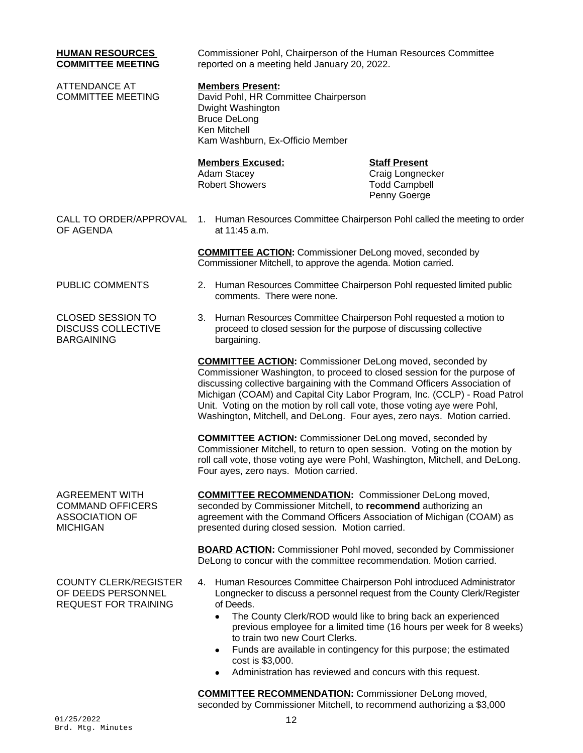| <b>HUMAN RESOURCES</b><br><b>COMMITTEE MEETING</b>                                           | Commissioner Pohl, Chairperson of the Human Resources Committee<br>reported on a meeting held January 20, 2022.                                                                                                                                                                                                                                                                                                                                               |                                                                                                                                                                                                                        |  |
|----------------------------------------------------------------------------------------------|---------------------------------------------------------------------------------------------------------------------------------------------------------------------------------------------------------------------------------------------------------------------------------------------------------------------------------------------------------------------------------------------------------------------------------------------------------------|------------------------------------------------------------------------------------------------------------------------------------------------------------------------------------------------------------------------|--|
| <b>ATTENDANCE AT</b><br><b>COMMITTEE MEETING</b>                                             | <b>Members Present:</b><br>David Pohl, HR Committee Chairperson<br>Dwight Washington<br><b>Bruce DeLong</b><br>Ken Mitchell<br>Kam Washburn, Ex-Officio Member                                                                                                                                                                                                                                                                                                |                                                                                                                                                                                                                        |  |
|                                                                                              | <b>Members Excused:</b><br><b>Adam Stacey</b><br><b>Robert Showers</b>                                                                                                                                                                                                                                                                                                                                                                                        | <b>Staff Present</b><br>Craig Longnecker<br><b>Todd Campbell</b><br>Penny Goerge                                                                                                                                       |  |
| CALL TO ORDER/APPROVAL<br>OF AGENDA                                                          | 1. Human Resources Committee Chairperson Pohl called the meeting to order<br>at 11:45 a.m.                                                                                                                                                                                                                                                                                                                                                                    |                                                                                                                                                                                                                        |  |
|                                                                                              | <b>COMMITTEE ACTION:</b> Commissioner DeLong moved, seconded by<br>Commissioner Mitchell, to approve the agenda. Motion carried.                                                                                                                                                                                                                                                                                                                              |                                                                                                                                                                                                                        |  |
| PUBLIC COMMENTS                                                                              | 2. Human Resources Committee Chairperson Pohl requested limited public<br>comments. There were none.                                                                                                                                                                                                                                                                                                                                                          |                                                                                                                                                                                                                        |  |
| <b>CLOSED SESSION TO</b><br><b>DISCUSS COLLECTIVE</b><br><b>BARGAINING</b>                   | Human Resources Committee Chairperson Pohl requested a motion to<br>З.<br>proceed to closed session for the purpose of discussing collective<br>bargaining.                                                                                                                                                                                                                                                                                                   |                                                                                                                                                                                                                        |  |
|                                                                                              | <b>COMMITTEE ACTION:</b> Commissioner DeLong moved, seconded by<br>Commissioner Washington, to proceed to closed session for the purpose of<br>discussing collective bargaining with the Command Officers Association of<br>Michigan (COAM) and Capital City Labor Program, Inc. (CCLP) - Road Patrol<br>Unit. Voting on the motion by roll call vote, those voting aye were Pohl,<br>Washington, Mitchell, and DeLong. Four ayes, zero nays. Motion carried. |                                                                                                                                                                                                                        |  |
|                                                                                              | <b>COMMITTEE ACTION:</b> Commissioner DeLong moved, seconded by<br>Commissioner Mitchell, to return to open session. Voting on the motion by<br>roll call vote, those voting aye were Pohl, Washington, Mitchell, and DeLong.<br>Four ayes, zero nays. Motion carried.                                                                                                                                                                                        |                                                                                                                                                                                                                        |  |
| <b>AGREEMENT WITH</b><br><b>COMMAND OFFICERS</b><br><b>ASSOCIATION OF</b><br><b>MICHIGAN</b> | <b>COMMITTEE RECOMMENDATION:</b> Commissioner DeLong moved,<br>seconded by Commissioner Mitchell, to recommend authorizing an<br>agreement with the Command Officers Association of Michigan (COAM) as<br>presented during closed session. Motion carried.                                                                                                                                                                                                    |                                                                                                                                                                                                                        |  |
|                                                                                              | <b>BOARD ACTION:</b> Commissioner Pohl moved, seconded by Commissioner<br>DeLong to concur with the committee recommendation. Motion carried.                                                                                                                                                                                                                                                                                                                 |                                                                                                                                                                                                                        |  |
| <b>COUNTY CLERK/REGISTER</b><br>OF DEEDS PERSONNEL<br><b>REQUEST FOR TRAINING</b>            | 4. Human Resources Committee Chairperson Pohl introduced Administrator<br>of Deeds.<br>The County Clerk/ROD would like to bring back an experienced<br>$\bullet$<br>to train two new Court Clerks.<br>٠<br>cost is \$3,000.<br>Administration has reviewed and concurs with this request.                                                                                                                                                                     | Longnecker to discuss a personnel request from the County Clerk/Register<br>previous employee for a limited time (16 hours per week for 8 weeks)<br>Funds are available in contingency for this purpose; the estimated |  |

**COMMITTEE RECOMMENDATION:** Commissioner DeLong moved, seconded by Commissioner Mitchell, to recommend authorizing a \$3,000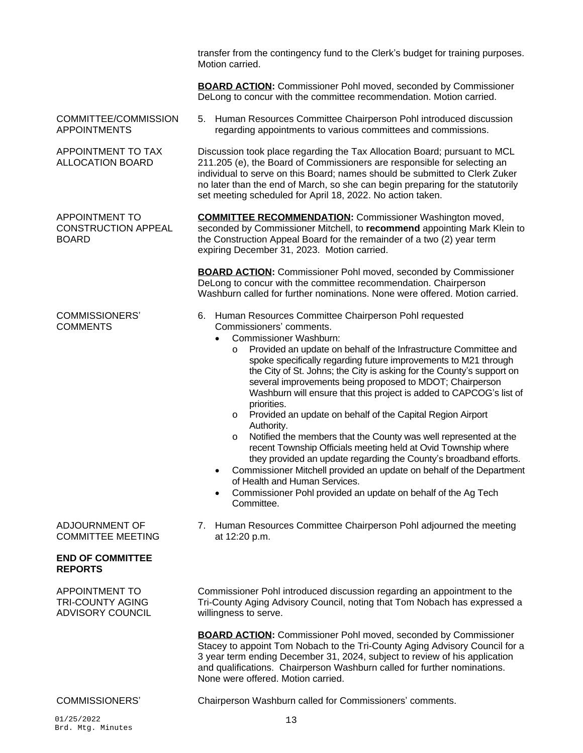transfer from the contingency fund to the Clerk's budget for training purposes. Motion carried.

**BOARD ACTION:** Commissioner Pohl moved, seconded by Commissioner DeLong to concur with the committee recommendation. Motion carried.

COMMITTEE/COMMISSION APPOINTMENTS

APPOINTMENT TO TAX ALLOCATION BOARD

APPOINTMENT TO CONSTRUCTION APPEAL BOARD

### COMMISSIONERS' **COMMENTS**

ADJOURNMENT OF COMMITTEE MEETING

## **END OF COMMITTEE REPORTS**

APPOINTMENT TO TRI-COUNTY AGING ADVISORY COUNCIL

01/25/2022 13 Brd. Mtg. Minutes

5. Human Resources Committee Chairperson Pohl introduced discussion regarding appointments to various committees and commissions.

Discussion took place regarding the Tax Allocation Board; pursuant to MCL 211.205 (e), the Board of Commissioners are responsible for selecting an individual to serve on this Board; names should be submitted to Clerk Zuker no later than the end of March, so she can begin preparing for the statutorily set meeting scheduled for April 18, 2022. No action taken.

**COMMITTEE RECOMMENDATION:** Commissioner Washington moved, seconded by Commissioner Mitchell, to **recommend** appointing Mark Klein to the Construction Appeal Board for the remainder of a two (2) year term expiring December 31, 2023. Motion carried.

**BOARD ACTION:** Commissioner Pohl moved, seconded by Commissioner DeLong to concur with the committee recommendation. Chairperson Washburn called for further nominations. None were offered. Motion carried.

- 6. Human Resources Committee Chairperson Pohl requested Commissioners' comments.
	- Commissioner Washburn:
		- Provided an update on behalf of the Infrastructure Committee and spoke specifically regarding future improvements to M21 through the City of St. Johns; the City is asking for the County's support on several improvements being proposed to MDOT; Chairperson Washburn will ensure that this project is added to CAPCOG's list of priorities.
		- o Provided an update on behalf of the Capital Region Airport Authority.
		- o Notified the members that the County was well represented at the recent Township Officials meeting held at Ovid Township where they provided an update regarding the County's broadband efforts.
	- Commissioner Mitchell provided an update on behalf of the Department of Health and Human Services.
	- Commissioner Pohl provided an update on behalf of the Ag Tech Committee.
- 7. Human Resources Committee Chairperson Pohl adjourned the meeting at 12:20 p.m.

Commissioner Pohl introduced discussion regarding an appointment to the Tri-County Aging Advisory Council, noting that Tom Nobach has expressed a willingness to serve.

**BOARD ACTION:** Commissioner Pohl moved, seconded by Commissioner Stacey to appoint Tom Nobach to the Tri-County Aging Advisory Council for a 3 year term ending December 31, 2024, subject to review of his application and qualifications. Chairperson Washburn called for further nominations. None were offered. Motion carried.

COMMISSIONERS' Chairperson Washburn called for Commissioners' comments.